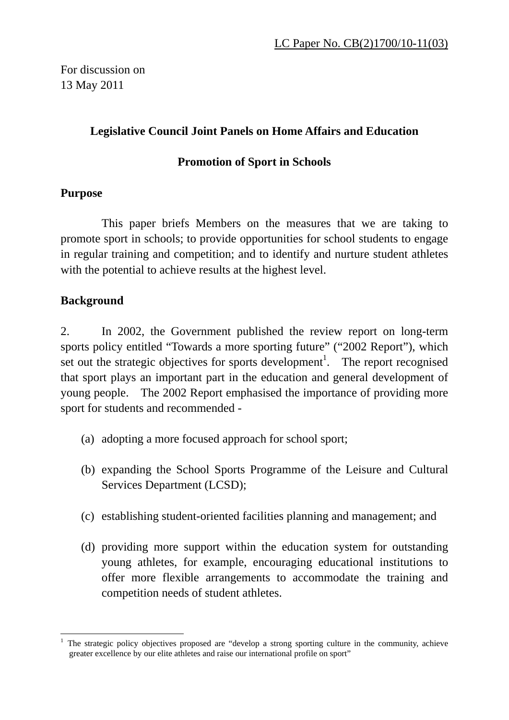For discussion on 13 May 2011

# **Legislative Council Joint Panels on Home Affairs and Education**

## **Promotion of Sport in Schools**

## **Purpose**

 This paper briefs Members on the measures that we are taking to promote sport in schools; to provide opportunities for school students to engage in regular training and competition; and to identify and nurture student athletes with the potential to achieve results at the highest level.

# **Background**

2. In 2002, the Government published the review report on long-term sports policy entitled "Towards a more sporting future" ("2002 Report"), which set out the strategic objectives for sports development<sup>1</sup>. The report recognised that sport plays an important part in the education and general development of young people. The 2002 Report emphasised the importance of providing more sport for students and recommended -

- (a) adopting a more focused approach for school sport;
- (b) expanding the School Sports Programme of the Leisure and Cultural Services Department (LCSD);
- (c) establishing student-oriented facilities planning and management; and
- (d) providing more support within the education system for outstanding young athletes, for example, encouraging educational institutions to offer more flexible arrangements to accommodate the training and competition needs of student athletes.

<sup>&</sup>lt;u>.</u> <sup>1</sup> The strategic policy objectives proposed are "develop a strong sporting culture in the community, achieve greater excellence by our elite athletes and raise our international profile on sport"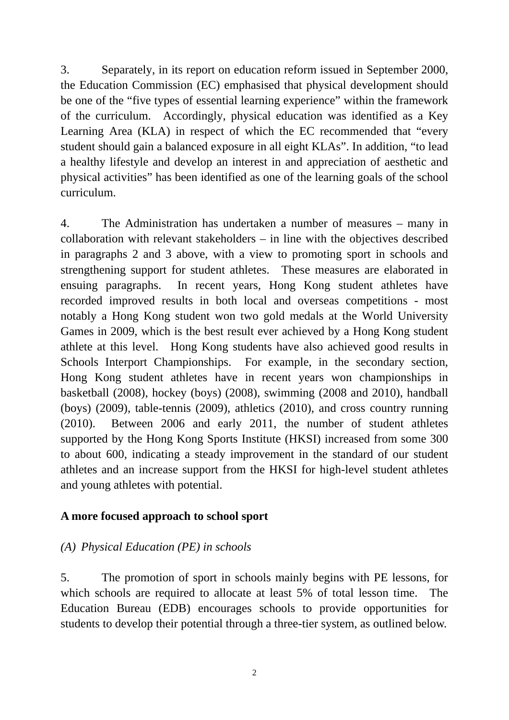3. Separately, in its report on education reform issued in September 2000, the Education Commission (EC) emphasised that physical development should be one of the "five types of essential learning experience" within the framework of the curriculum. Accordingly, physical education was identified as a Key Learning Area (KLA) in respect of which the EC recommended that "every student should gain a balanced exposure in all eight KLAs". In addition, "to lead a healthy lifestyle and develop an interest in and appreciation of aesthetic and physical activities" has been identified as one of the learning goals of the school curriculum.

4. The Administration has undertaken a number of measures – many in collaboration with relevant stakeholders – in line with the objectives described in paragraphs 2 and 3 above, with a view to promoting sport in schools and strengthening support for student athletes. These measures are elaborated in ensuing paragraphs. In recent years, Hong Kong student athletes have recorded improved results in both local and overseas competitions - most notably a Hong Kong student won two gold medals at the World University Games in 2009, which is the best result ever achieved by a Hong Kong student athlete at this level. Hong Kong students have also achieved good results in Schools Interport Championships. For example, in the secondary section, Hong Kong student athletes have in recent years won championships in basketball (2008), hockey (boys) (2008), swimming (2008 and 2010), handball (boys) (2009), table-tennis (2009), athletics (2010), and cross country running (2010). Between 2006 and early 2011, the number of student athletes supported by the Hong Kong Sports Institute (HKSI) increased from some 300 to about 600, indicating a steady improvement in the standard of our student athletes and an increase support from the HKSI for high-level student athletes and young athletes with potential.

#### **A more focused approach to school sport**

# *(A) Physical Education (PE) in schools*

5. The promotion of sport in schools mainly begins with PE lessons, for which schools are required to allocate at least 5% of total lesson time. The Education Bureau (EDB) encourages schools to provide opportunities for students to develop their potential through a three-tier system, as outlined below.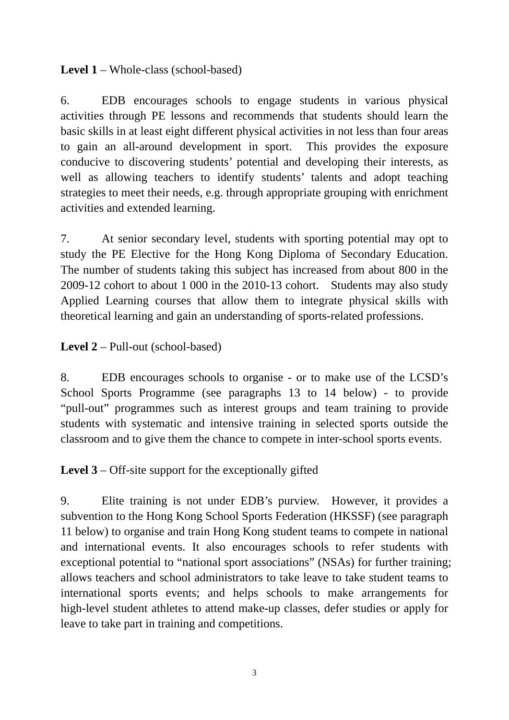# **Level 1** – Whole-class (school-based)

6. EDB encourages schools to engage students in various physical activities through PE lessons and recommends that students should learn the basic skills in at least eight different physical activities in not less than four areas to gain an all-around development in sport. This provides the exposure conducive to discovering students' potential and developing their interests, as well as allowing teachers to identify students' talents and adopt teaching strategies to meet their needs, e.g. through appropriate grouping with enrichment activities and extended learning.

7. At senior secondary level, students with sporting potential may opt to study the PE Elective for the Hong Kong Diploma of Secondary Education. The number of students taking this subject has increased from about 800 in the 2009-12 cohort to about 1 000 in the 2010-13 cohort. Students may also study Applied Learning courses that allow them to integrate physical skills with theoretical learning and gain an understanding of sports-related professions.

**Level 2** – Pull-out (school-based)

8. EDB encourages schools to organise - or to make use of the LCSD's School Sports Programme (see paragraphs 13 to 14 below) - to provide "pull-out" programmes such as interest groups and team training to provide students with systematic and intensive training in selected sports outside the classroom and to give them the chance to compete in inter-school sports events.

**Level 3** – Off-site support for the exceptionally gifted

9. Elite training is not under EDB's purview. However, it provides a subvention to the Hong Kong School Sports Federation (HKSSF) (see paragraph 11 below) to organise and train Hong Kong student teams to compete in national and international events. It also encourages schools to refer students with exceptional potential to "national sport associations" (NSAs) for further training; allows teachers and school administrators to take leave to take student teams to international sports events; and helps schools to make arrangements for high-level student athletes to attend make-up classes, defer studies or apply for leave to take part in training and competitions.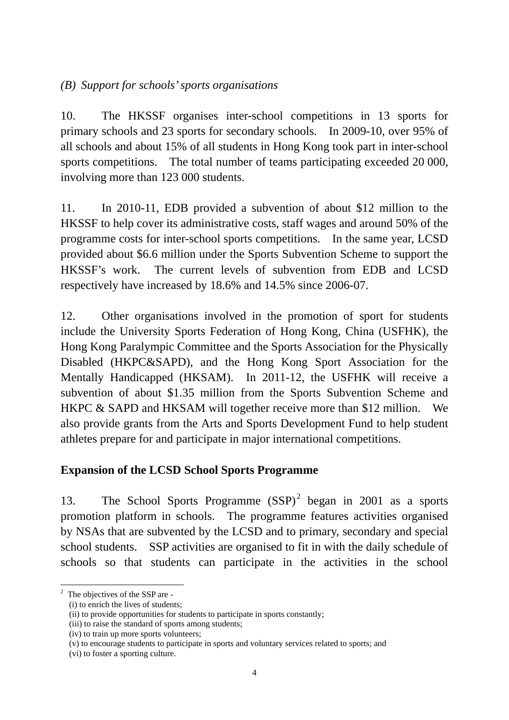# *(B) Support for schools' sports organisations*

10. The HKSSF organises inter-school competitions in 13 sports for primary schools and 23 sports for secondary schools. In 2009-10, over 95% of all schools and about 15% of all students in Hong Kong took part in inter-school sports competitions. The total number of teams participating exceeded 20 000, involving more than 123 000 students.

11. In 2010-11, EDB provided a subvention of about \$12 million to the HKSSF to help cover its administrative costs, staff wages and around 50% of the programme costs for inter-school sports competitions. In the same year, LCSD provided about \$6.6 million under the Sports Subvention Scheme to support the HKSSF's work. The current levels of subvention from EDB and LCSD respectively have increased by 18.6% and 14.5% since 2006-07.

12. Other organisations involved in the promotion of sport for students include the University Sports Federation of Hong Kong, China (USFHK), the Hong Kong Paralympic Committee and the Sports Association for the Physically Disabled (HKPC&SAPD), and the Hong Kong Sport Association for the Mentally Handicapped (HKSAM). In 2011-12, the USFHK will receive a subvention of about \$1.35 million from the Sports Subvention Scheme and HKPC & SAPD and HKSAM will together receive more than \$12 million. We also provide grants from the Arts and Sports Development Fund to help student athletes prepare for and participate in major international competitions.

# **Expansion of the LCSD School Sports Programme**

13. The School Sports Programme (SSP)<sup>2</sup> began in 2001 as a sports promotion platform in schools. The programme features activities organised by NSAs that are subvented by the LCSD and to primary, secondary and special school students. SSP activities are organised to fit in with the daily schedule of schools so that students can participate in the activities in the school

<sup>1</sup>  $2$  The objectives of the SSP are -

 <sup>(</sup>i) to enrich the lives of students;

 <sup>(</sup>ii) to provide opportunities for students to participate in sports constantly;

 <sup>(</sup>iii) to raise the standard of sports among students;

 <sup>(</sup>iv) to train up more sports volunteers;

 <sup>(</sup>v) to encourage students to participate in sports and voluntary services related to sports; and

 <sup>(</sup>vi) to foster a sporting culture.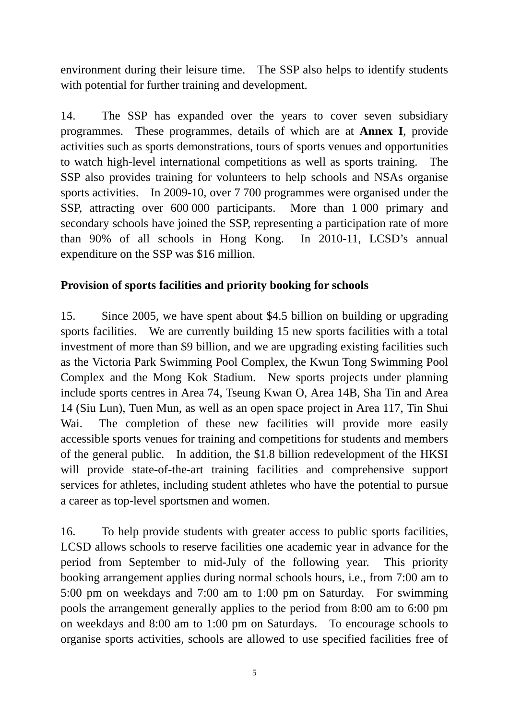environment during their leisure time. The SSP also helps to identify students with potential for further training and development.

14. The SSP has expanded over the years to cover seven subsidiary programmes. These programmes, details of which are at **Annex I**, provide activities such as sports demonstrations, tours of sports venues and opportunities to watch high-level international competitions as well as sports training. The SSP also provides training for volunteers to help schools and NSAs organise sports activities. In 2009-10, over 7 700 programmes were organised under the SSP, attracting over 600 000 participants. More than 1 000 primary and secondary schools have joined the SSP, representing a participation rate of more than 90% of all schools in Hong Kong. In 2010-11, LCSD's annual expenditure on the SSP was \$16 million.

# **Provision of sports facilities and priority booking for schools**

15. Since 2005, we have spent about \$4.5 billion on building or upgrading sports facilities. We are currently building 15 new sports facilities with a total investment of more than \$9 billion, and we are upgrading existing facilities such as the Victoria Park Swimming Pool Complex, the Kwun Tong Swimming Pool Complex and the Mong Kok Stadium. New sports projects under planning include sports centres in Area 74, Tseung Kwan O, Area 14B, Sha Tin and Area 14 (Siu Lun), Tuen Mun, as well as an open space project in Area 117, Tin Shui Wai. The completion of these new facilities will provide more easily accessible sports venues for training and competitions for students and members of the general public. In addition, the \$1.8 billion redevelopment of the HKSI will provide state-of-the-art training facilities and comprehensive support services for athletes, including student athletes who have the potential to pursue a career as top-level sportsmen and women.

16. To help provide students with greater access to public sports facilities, LCSD allows schools to reserve facilities one academic year in advance for the period from September to mid-July of the following year. This priority booking arrangement applies during normal schools hours, i.e., from 7:00 am to 5:00 pm on weekdays and 7:00 am to 1:00 pm on Saturday. For swimming pools the arrangement generally applies to the period from 8:00 am to 6:00 pm on weekdays and 8:00 am to 1:00 pm on Saturdays. To encourage schools to organise sports activities, schools are allowed to use specified facilities free of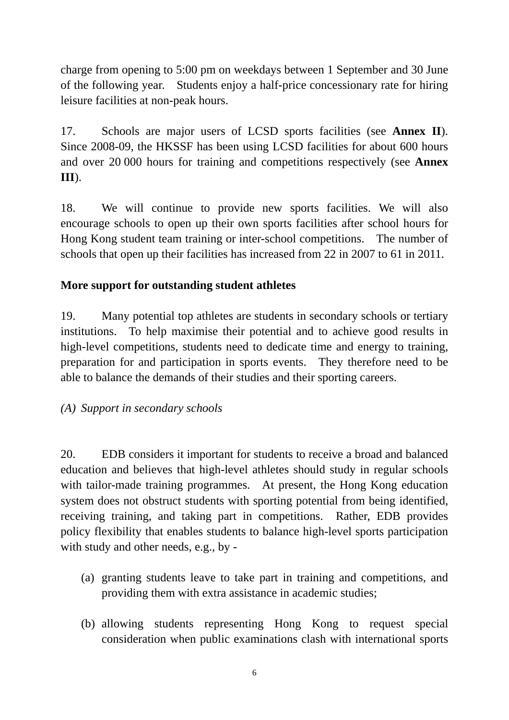charge from opening to 5:00 pm on weekdays between 1 September and 30 June of the following year. Students enjoy a half-price concessionary rate for hiring leisure facilities at non-peak hours.

17. Schools are major users of LCSD sports facilities (see **Annex II**). Since 2008-09, the HKSSF has been using LCSD facilities for about 600 hours and over 20 000 hours for training and competitions respectively (see **Annex III**).

18. We will continue to provide new sports facilities. We will also encourage schools to open up their own sports facilities after school hours for Hong Kong student team training or inter-school competitions. The number of schools that open up their facilities has increased from 22 in 2007 to 61 in 2011.

# **More support for outstanding student athletes**

19. Many potential top athletes are students in secondary schools or tertiary institutions. To help maximise their potential and to achieve good results in high-level competitions, students need to dedicate time and energy to training, preparation for and participation in sports events. They therefore need to be able to balance the demands of their studies and their sporting careers.

# *(A) Support in secondary schools*

20. EDB considers it important for students to receive a broad and balanced education and believes that high-level athletes should study in regular schools with tailor-made training programmes. At present, the Hong Kong education system does not obstruct students with sporting potential from being identified, receiving training, and taking part in competitions. Rather, EDB provides policy flexibility that enables students to balance high-level sports participation with study and other needs, e.g., by -

- (a) granting students leave to take part in training and competitions, and providing them with extra assistance in academic studies;
- (b) allowing students representing Hong Kong to request special consideration when public examinations clash with international sports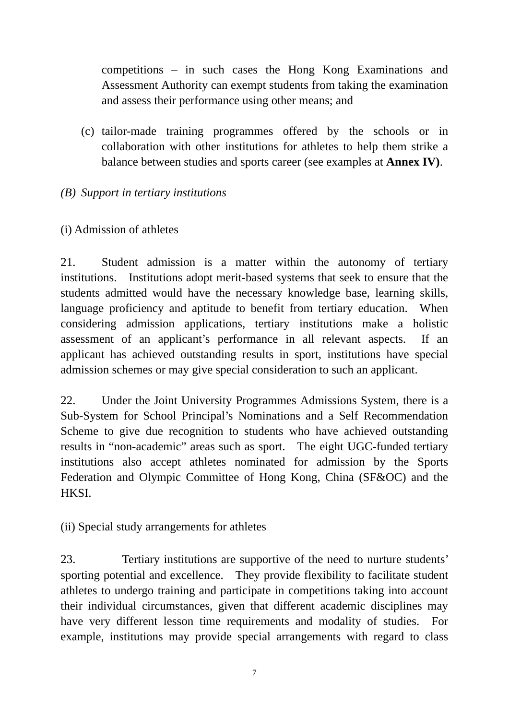competitions – in such cases the Hong Kong Examinations and Assessment Authority can exempt students from taking the examination and assess their performance using other means; and

(c) tailor-made training programmes offered by the schools or in collaboration with other institutions for athletes to help them strike a balance between studies and sports career (see examples at **Annex IV)**.

## *(B) Support in tertiary institutions*

#### (i) Admission of athletes

21. Student admission is a matter within the autonomy of tertiary institutions. Institutions adopt merit-based systems that seek to ensure that the students admitted would have the necessary knowledge base, learning skills, language proficiency and aptitude to benefit from tertiary education. When considering admission applications, tertiary institutions make a holistic assessment of an applicant's performance in all relevant aspects. If an applicant has achieved outstanding results in sport, institutions have special admission schemes or may give special consideration to such an applicant.

22. Under the Joint University Programmes Admissions System, there is a Sub-System for School Principal's Nominations and a Self Recommendation Scheme to give due recognition to students who have achieved outstanding results in "non-academic" areas such as sport. The eight UGC-funded tertiary institutions also accept athletes nominated for admission by the Sports Federation and Olympic Committee of Hong Kong, China (SF&OC) and the HKSI.

(ii) Special study arrangements for athletes

23. Tertiary institutions are supportive of the need to nurture students' sporting potential and excellence. They provide flexibility to facilitate student athletes to undergo training and participate in competitions taking into account their individual circumstances, given that different academic disciplines may have very different lesson time requirements and modality of studies. For example, institutions may provide special arrangements with regard to class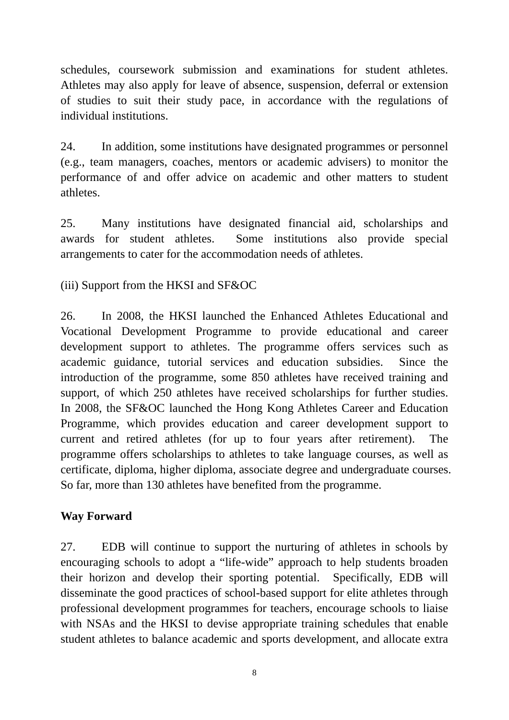schedules, coursework submission and examinations for student athletes. Athletes may also apply for leave of absence, suspension, deferral or extension of studies to suit their study pace, in accordance with the regulations of individual institutions.

24. In addition, some institutions have designated programmes or personnel (e.g., team managers, coaches, mentors or academic advisers) to monitor the performance of and offer advice on academic and other matters to student athletes.

25. Many institutions have designated financial aid, scholarships and awards for student athletes. Some institutions also provide special arrangements to cater for the accommodation needs of athletes.

(iii) Support from the HKSI and SF&OC

26. In 2008, the HKSI launched the Enhanced Athletes Educational and Vocational Development Programme to provide educational and career development support to athletes. The programme offers services such as academic guidance, tutorial services and education subsidies. Since the introduction of the programme, some 850 athletes have received training and support, of which 250 athletes have received scholarships for further studies. In 2008, the SF&OC launched the Hong Kong Athletes Career and Education Programme, which provides education and career development support to current and retired athletes (for up to four years after retirement). The programme offers scholarships to athletes to take language courses, as well as certificate, diploma, higher diploma, associate degree and undergraduate courses. So far, more than 130 athletes have benefited from the programme.

# **Way Forward**

27. EDB will continue to support the nurturing of athletes in schools by encouraging schools to adopt a "life-wide" approach to help students broaden their horizon and develop their sporting potential. Specifically, EDB will disseminate the good practices of school-based support for elite athletes through professional development programmes for teachers, encourage schools to liaise with NSAs and the HKSI to devise appropriate training schedules that enable student athletes to balance academic and sports development, and allocate extra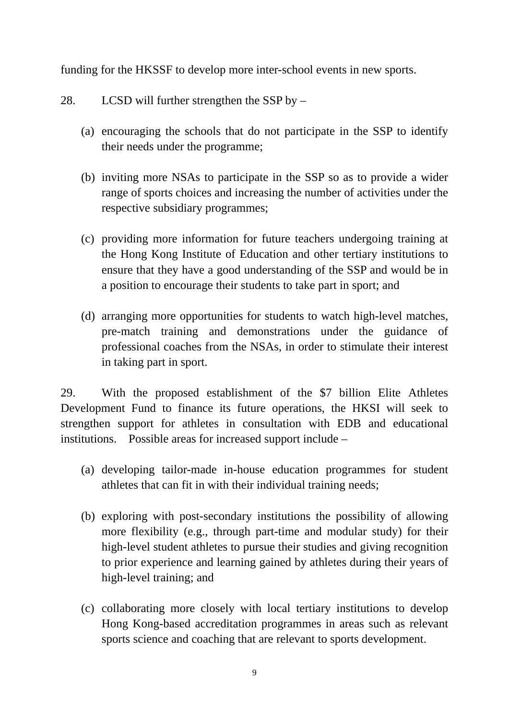funding for the HKSSF to develop more inter-school events in new sports.

- 28. LCSD will further strengthen the SSP by
	- (a) encouraging the schools that do not participate in the SSP to identify their needs under the programme;
	- (b) inviting more NSAs to participate in the SSP so as to provide a wider range of sports choices and increasing the number of activities under the respective subsidiary programmes;
	- (c) providing more information for future teachers undergoing training at the Hong Kong Institute of Education and other tertiary institutions to ensure that they have a good understanding of the SSP and would be in a position to encourage their students to take part in sport; and
	- (d) arranging more opportunities for students to watch high-level matches, pre-match training and demonstrations under the guidance of professional coaches from the NSAs, in order to stimulate their interest in taking part in sport.

29. With the proposed establishment of the \$7 billion Elite Athletes Development Fund to finance its future operations, the HKSI will seek to strengthen support for athletes in consultation with EDB and educational institutions. Possible areas for increased support include –

- (a) developing tailor-made in-house education programmes for student athletes that can fit in with their individual training needs;
- (b) exploring with post-secondary institutions the possibility of allowing more flexibility (e.g., through part-time and modular study) for their high-level student athletes to pursue their studies and giving recognition to prior experience and learning gained by athletes during their years of high-level training; and
- (c) collaborating more closely with local tertiary institutions to develop Hong Kong-based accreditation programmes in areas such as relevant sports science and coaching that are relevant to sports development.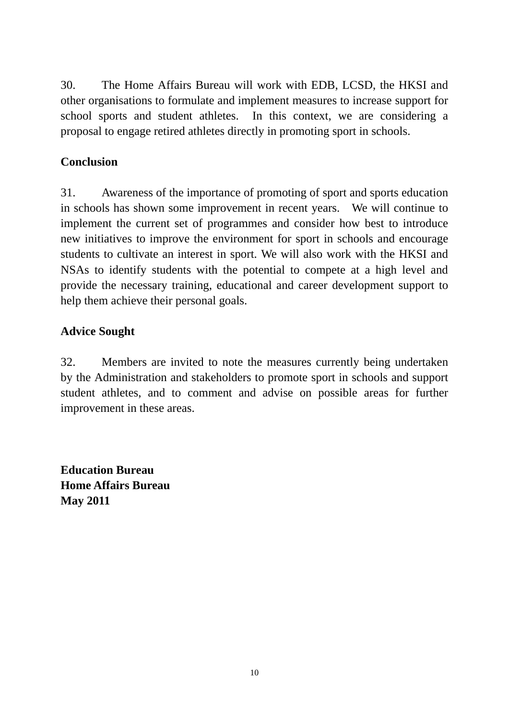30. The Home Affairs Bureau will work with EDB, LCSD, the HKSI and other organisations to formulate and implement measures to increase support for school sports and student athletes. In this context, we are considering a proposal to engage retired athletes directly in promoting sport in schools.

# **Conclusion**

31. Awareness of the importance of promoting of sport and sports education in schools has shown some improvement in recent years. We will continue to implement the current set of programmes and consider how best to introduce new initiatives to improve the environment for sport in schools and encourage students to cultivate an interest in sport. We will also work with the HKSI and NSAs to identify students with the potential to compete at a high level and provide the necessary training, educational and career development support to help them achieve their personal goals.

# **Advice Sought**

32. Members are invited to note the measures currently being undertaken by the Administration and stakeholders to promote sport in schools and support student athletes, and to comment and advise on possible areas for further improvement in these areas.

**Education Bureau Home Affairs Bureau May 2011**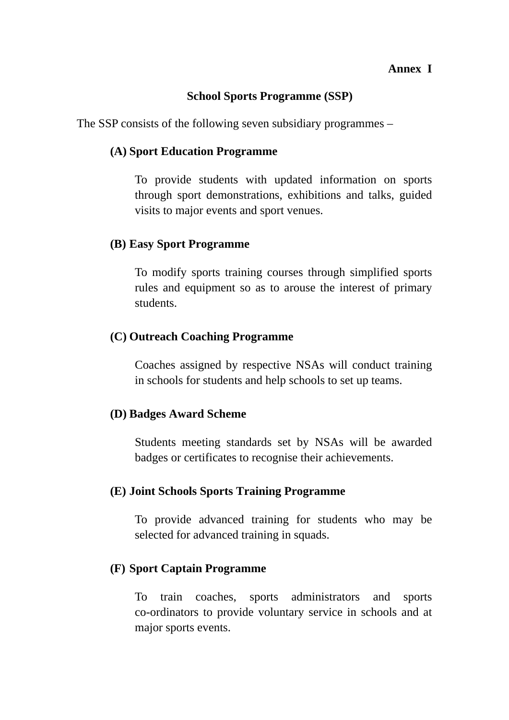#### **Annex I**

#### **School Sports Programme (SSP)**

The SSP consists of the following seven subsidiary programmes –

#### **(A) Sport Education Programme**

To provide students with updated information on sports through sport demonstrations, exhibitions and talks, guided visits to major events and sport venues.

#### **(B) Easy Sport Programme**

To modify sports training courses through simplified sports rules and equipment so as to arouse the interest of primary students.

#### **(C) Outreach Coaching Programme**

Coaches assigned by respective NSAs will conduct training in schools for students and help schools to set up teams.

#### **(D) Badges Award Scheme**

Students meeting standards set by NSAs will be awarded badges or certificates to recognise their achievements.

#### **(E) Joint Schools Sports Training Programme**

To provide advanced training for students who may be selected for advanced training in squads.

#### **(F) Sport Captain Programme**

To train coaches, sports administrators and sports co-ordinators to provide voluntary service in schools and at major sports events.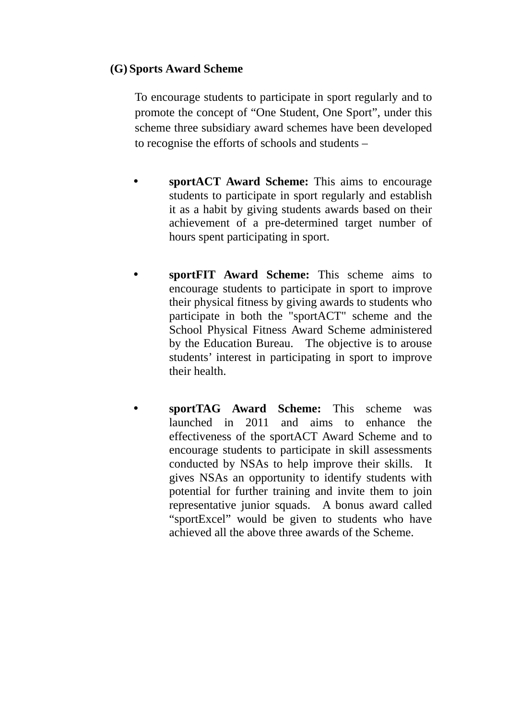#### **(G) Sports Award Scheme**

To encourage students to participate in sport regularly and to promote the concept of "One Student, One Sport", under this scheme three subsidiary award schemes have been developed to recognise the efforts of schools and students –

- **sportACT Award Scheme:** This aims to encourage students to participate in sport regularly and establish it as a habit by giving students awards based on their achievement of a pre-determined target number of hours spent participating in sport.
- **sportFIT Award Scheme:** This scheme aims to encourage students to participate in sport to improve their physical fitness by giving awards to students who participate in both the "sportACT" scheme and the School Physical Fitness Award Scheme administered by the Education Bureau. The objective is to arouse students' interest in participating in sport to improve their health.
- **sportTAG Award Scheme:** This scheme was launched in 2011 and aims to enhance the effectiveness of the sportACT Award Scheme and to encourage students to participate in skill assessments conducted by NSAs to help improve their skills. It gives NSAs an opportunity to identify students with potential for further training and invite them to join representative junior squads. A bonus award called "sportExcel" would be given to students who have achieved all the above three awards of the Scheme.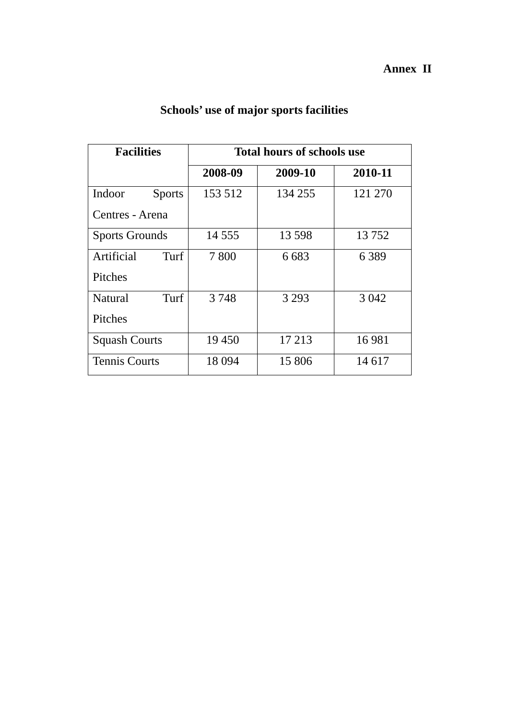# **Annex II**

| <b>Facilities</b>       | <b>Total hours of schools use</b> |         |         |
|-------------------------|-----------------------------------|---------|---------|
|                         | 2008-09                           | 2009-10 | 2010-11 |
| Indoor<br><b>Sports</b> | 153 512                           | 134 255 | 121 270 |
| Centres - Arena         |                                   |         |         |
| <b>Sports Grounds</b>   | 14 5 5 5                          | 13 5 98 | 13 752  |
| Artificial<br>Turf      | 7800                              | 6 6 8 3 | 6 3 8 9 |
| Pitches                 |                                   |         |         |
| Turf<br><b>Natural</b>  | 3 7 4 8                           | 3 2 9 3 | 3 0 4 2 |
| Pitches                 |                                   |         |         |
| <b>Squash Courts</b>    | 19 450                            | 17 213  | 16 981  |
| <b>Tennis Courts</b>    | 18 0 94                           | 15 806  | 14 617  |

# **Schools' use of major sports facilities**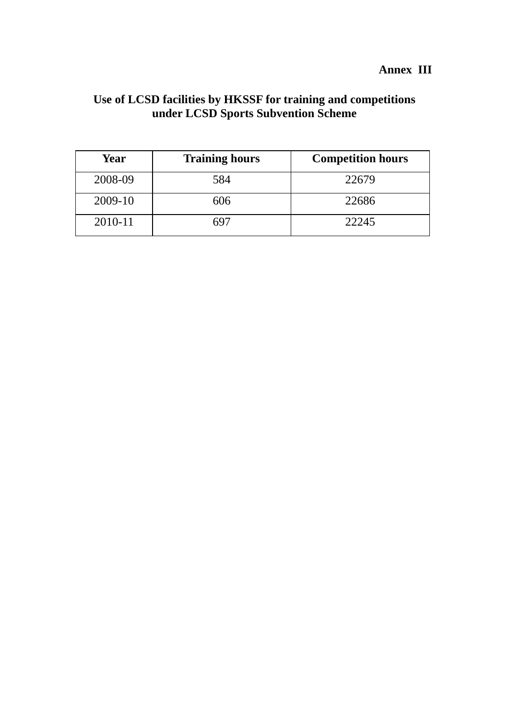## **Use of LCSD facilities by HKSSF for training and competitions under LCSD Sports Subvention Scheme**

| Year    | <b>Training hours</b> | <b>Competition hours</b> |
|---------|-----------------------|--------------------------|
| 2008-09 | 584                   | 22679                    |
| 2009-10 | 606                   | 22686                    |
| 2010-11 | n97                   | 22245                    |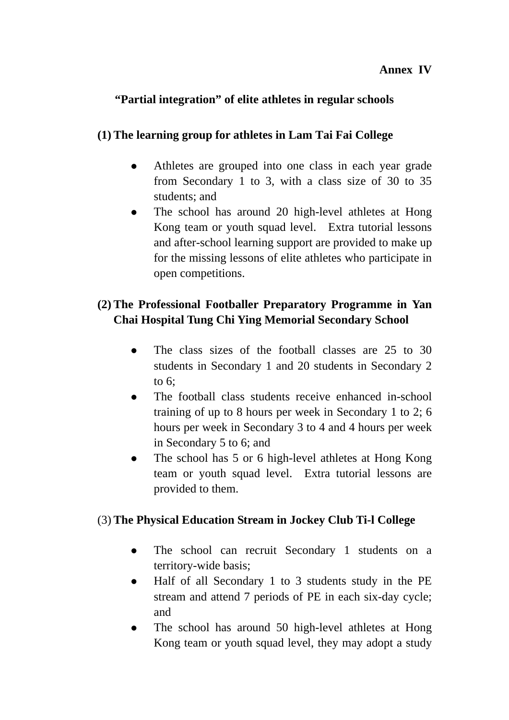# **"Partial integration" of elite athletes in regular schools**

# **(1) The learning group for athletes in Lam Tai Fai College**

- Athletes are grouped into one class in each year grade from Secondary 1 to 3, with a class size of 30 to 35 students; and
- The school has around 20 high-level athletes at Hong Kong team or youth squad level. Extra tutorial lessons and after-school learning support are provided to make up for the missing lessons of elite athletes who participate in open competitions.

# **(2) The Professional Footballer Preparatory Programme in Yan Chai Hospital Tung Chi Ying Memorial Secondary School**

- The class sizes of the football classes are 25 to 30 students in Secondary 1 and 20 students in Secondary 2 to 6;
- The football class students receive enhanced in-school training of up to 8 hours per week in Secondary 1 to 2; 6 hours per week in Secondary 3 to 4 and 4 hours per week in Secondary 5 to 6; and
- The school has 5 or 6 high-level athletes at Hong Kong team or youth squad level. Extra tutorial lessons are provided to them.

# (3) **The Physical Education Stream in Jockey Club Ti-l College**

- The school can recruit Secondary 1 students on a territory-wide basis;
- Half of all Secondary 1 to 3 students study in the PE stream and attend 7 periods of PE in each six-day cycle; and
- The school has around 50 high-level athletes at Hong Kong team or youth squad level, they may adopt a study